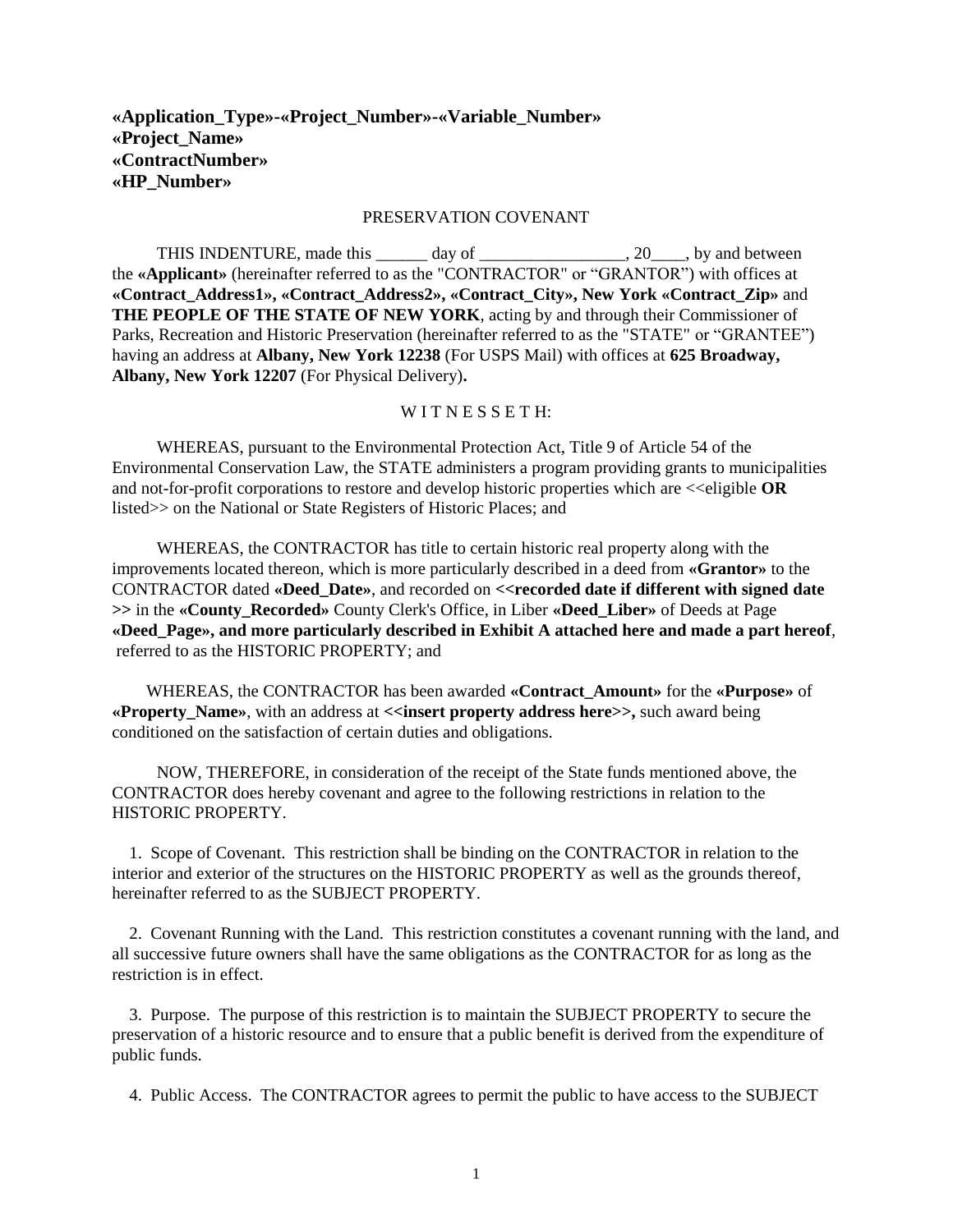# **«Application\_Type»-«Project\_Number»-«Variable\_Number» «Project\_Name» «ContractNumber» «HP\_Number»**

#### PRESERVATION COVENANT

THIS INDENTURE, made this \_\_\_\_\_\_ day of \_\_\_\_\_\_\_\_\_\_\_\_\_\_\_, 20\_\_\_\_, by and between the **«Applicant»** (hereinafter referred to as the "CONTRACTOR" or "GRANTOR") with offices at **«Contract\_Address1», «Contract\_Address2», «Contract\_City», New York «Contract\_Zip»** and **THE PEOPLE OF THE STATE OF NEW YORK**, acting by and through their Commissioner of Parks, Recreation and Historic Preservation (hereinafter referred to as the "STATE" or "GRANTEE") having an address at **Albany, New York 12238** (For USPS Mail) with offices at **625 Broadway, Albany, New York 12207** (For Physical Delivery)**.**

#### WITNESSETH:

WHEREAS, pursuant to the Environmental Protection Act, Title 9 of Article 54 of the Environmental Conservation Law, the STATE administers a program providing grants to municipalities and not-for-profit corporations to restore and develop historic properties which are  $\ll$ eligible **OR** listed>> on the National or State Registers of Historic Places; and

WHEREAS, the CONTRACTOR has title to certain historic real property along with the improvements located thereon, which is more particularly described in a deed from **«Grantor»** to the CONTRACTOR dated **«Deed\_Date»**, and recorded on **<<recorded date if different with signed date >>** in the **«County\_Recorded»** County Clerk's Office, in Liber **«Deed\_Liber»** of Deeds at Page **«Deed\_Page», and more particularly described in Exhibit A attached here and made a part hereof**, referred to as the HISTORIC PROPERTY; and

 WHEREAS, the CONTRACTOR has been awarded **«Contract\_Amount»** for the **«Purpose»** of **«Property Name»**, with an address at **<<insert property address here>>**, such award being conditioned on the satisfaction of certain duties and obligations.

NOW, THEREFORE, in consideration of the receipt of the State funds mentioned above, the CONTRACTOR does hereby covenant and agree to the following restrictions in relation to the HISTORIC PROPERTY.

 1. Scope of Covenant. This restriction shall be binding on the CONTRACTOR in relation to the interior and exterior of the structures on the HISTORIC PROPERTY as well as the grounds thereof, hereinafter referred to as the SUBJECT PROPERTY.

 2. Covenant Running with the Land. This restriction constitutes a covenant running with the land, and all successive future owners shall have the same obligations as the CONTRACTOR for as long as the restriction is in effect.

 3. Purpose. The purpose of this restriction is to maintain the SUBJECT PROPERTY to secure the preservation of a historic resource and to ensure that a public benefit is derived from the expenditure of public funds.

4. Public Access. The CONTRACTOR agrees to permit the public to have access to the SUBJECT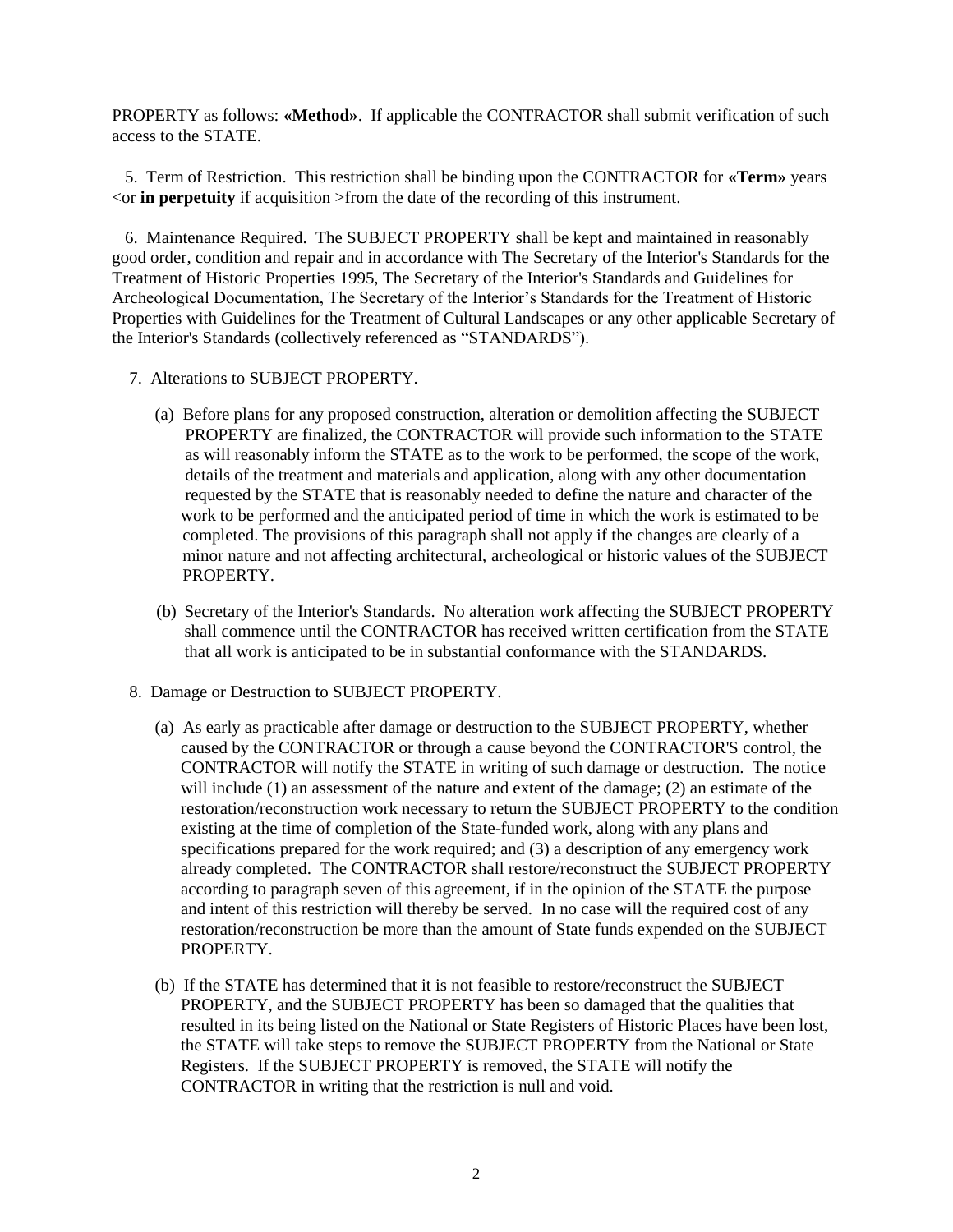PROPERTY as follows: **«Method»**. If applicable the CONTRACTOR shall submit verification of such access to the STATE.

 5. Term of Restriction. This restriction shall be binding upon the CONTRACTOR for **«Term»** years  $\leq$  or **in perpetuity** if acquisition  $\geq$  from the date of the recording of this instrument.

 6. Maintenance Required. The SUBJECT PROPERTY shall be kept and maintained in reasonably good order, condition and repair and in accordance with The Secretary of the Interior's Standards for the Treatment of Historic Properties 1995, The Secretary of the Interior's Standards and Guidelines for Archeological Documentation, The Secretary of the Interior's Standards for the Treatment of Historic Properties with Guidelines for the Treatment of Cultural Landscapes or any other applicable Secretary of the Interior's Standards (collectively referenced as "STANDARDS").

- 7. Alterations to SUBJECT PROPERTY.
	- (a) Before plans for any proposed construction, alteration or demolition affecting the SUBJECT PROPERTY are finalized, the CONTRACTOR will provide such information to the STATE as will reasonably inform the STATE as to the work to be performed, the scope of the work, details of the treatment and materials and application, along with any other documentation requested by the STATE that is reasonably needed to define the nature and character of the work to be performed and the anticipated period of time in which the work is estimated to be completed. The provisions of this paragraph shall not apply if the changes are clearly of a minor nature and not affecting architectural, archeological or historic values of the SUBJECT PROPERTY.
	- (b) Secretary of the Interior's Standards. No alteration work affecting the SUBJECT PROPERTY shall commence until the CONTRACTOR has received written certification from the STATE that all work is anticipated to be in substantial conformance with the STANDARDS.
- 8. Damage or Destruction to SUBJECT PROPERTY.
	- (a) As early as practicable after damage or destruction to the SUBJECT PROPERTY, whether caused by the CONTRACTOR or through a cause beyond the CONTRACTOR'S control, the CONTRACTOR will notify the STATE in writing of such damage or destruction. The notice will include (1) an assessment of the nature and extent of the damage; (2) an estimate of the restoration/reconstruction work necessary to return the SUBJECT PROPERTY to the condition existing at the time of completion of the State-funded work, along with any plans and specifications prepared for the work required; and (3) a description of any emergency work already completed. The CONTRACTOR shall restore/reconstruct the SUBJECT PROPERTY according to paragraph seven of this agreement, if in the opinion of the STATE the purpose and intent of this restriction will thereby be served. In no case will the required cost of any restoration/reconstruction be more than the amount of State funds expended on the SUBJECT PROPERTY.
	- (b) If the STATE has determined that it is not feasible to restore/reconstruct the SUBJECT PROPERTY, and the SUBJECT PROPERTY has been so damaged that the qualities that resulted in its being listed on the National or State Registers of Historic Places have been lost, the STATE will take steps to remove the SUBJECT PROPERTY from the National or State Registers. If the SUBJECT PROPERTY is removed, the STATE will notify the CONTRACTOR in writing that the restriction is null and void.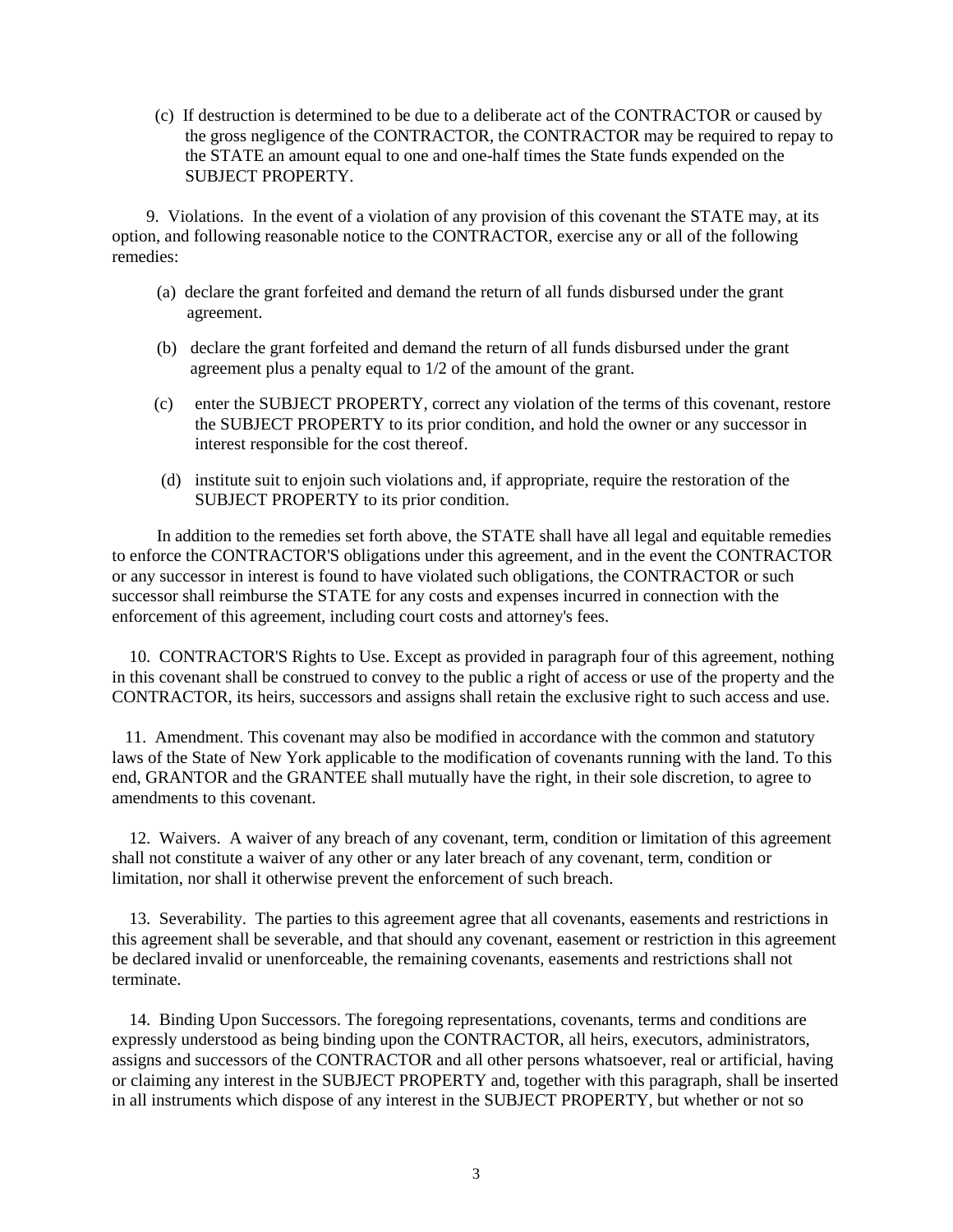(c) If destruction is determined to be due to a deliberate act of the CONTRACTOR or caused by the gross negligence of the CONTRACTOR, the CONTRACTOR may be required to repay to the STATE an amount equal to one and one-half times the State funds expended on the SUBJECT PROPERTY.

 9. Violations. In the event of a violation of any provision of this covenant the STATE may, at its option, and following reasonable notice to the CONTRACTOR, exercise any or all of the following remedies:

- (a) declare the grant forfeited and demand the return of all funds disbursed under the grant agreement.
- (b) declare the grant forfeited and demand the return of all funds disbursed under the grant agreement plus a penalty equal to 1/2 of the amount of the grant.
- (c) enter the SUBJECT PROPERTY, correct any violation of the terms of this covenant, restore the SUBJECT PROPERTY to its prior condition, and hold the owner or any successor in interest responsible for the cost thereof.
- (d) institute suit to enjoin such violations and, if appropriate, require the restoration of the SUBJECT PROPERTY to its prior condition.

In addition to the remedies set forth above, the STATE shall have all legal and equitable remedies to enforce the CONTRACTOR'S obligations under this agreement, and in the event the CONTRACTOR or any successor in interest is found to have violated such obligations, the CONTRACTOR or such successor shall reimburse the STATE for any costs and expenses incurred in connection with the enforcement of this agreement, including court costs and attorney's fees.

 10. CONTRACTOR'S Rights to Use. Except as provided in paragraph four of this agreement, nothing in this covenant shall be construed to convey to the public a right of access or use of the property and the CONTRACTOR, its heirs, successors and assigns shall retain the exclusive right to such access and use.

 11. Amendment. This covenant may also be modified in accordance with the common and statutory laws of the State of New York applicable to the modification of covenants running with the land. To this end, GRANTOR and the GRANTEE shall mutually have the right, in their sole discretion, to agree to amendments to this covenant.

 12. Waivers. A waiver of any breach of any covenant, term, condition or limitation of this agreement shall not constitute a waiver of any other or any later breach of any covenant, term, condition or limitation, nor shall it otherwise prevent the enforcement of such breach.

 13. Severability. The parties to this agreement agree that all covenants, easements and restrictions in this agreement shall be severable, and that should any covenant, easement or restriction in this agreement be declared invalid or unenforceable, the remaining covenants, easements and restrictions shall not terminate.

 14. Binding Upon Successors. The foregoing representations, covenants, terms and conditions are expressly understood as being binding upon the CONTRACTOR, all heirs, executors, administrators, assigns and successors of the CONTRACTOR and all other persons whatsoever, real or artificial, having or claiming any interest in the SUBJECT PROPERTY and, together with this paragraph, shall be inserted in all instruments which dispose of any interest in the SUBJECT PROPERTY, but whether or not so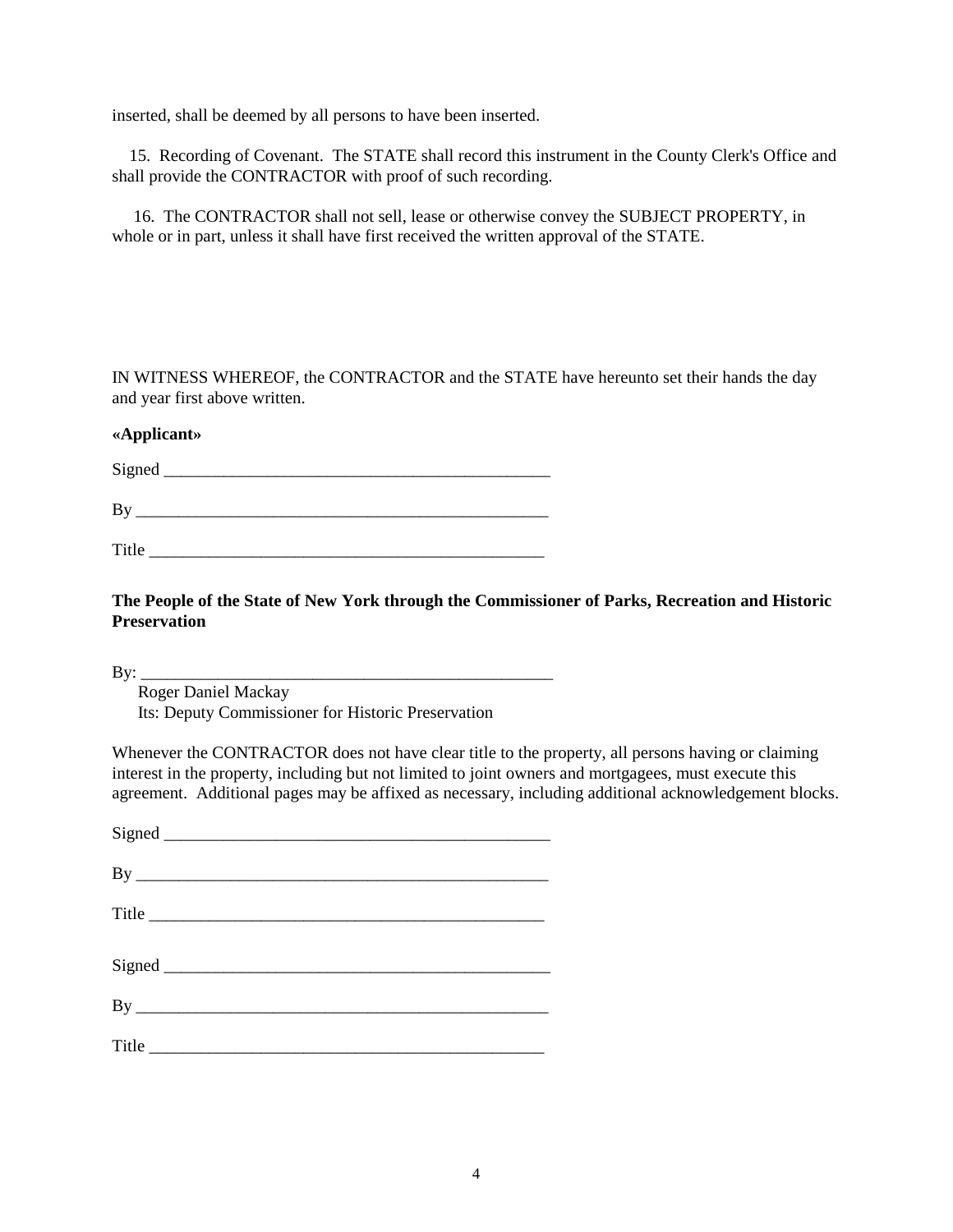inserted, shall be deemed by all persons to have been inserted.

 15. Recording of Covenant. The STATE shall record this instrument in the County Clerk's Office and shall provide the CONTRACTOR with proof of such recording.

 16. The CONTRACTOR shall not sell, lease or otherwise convey the SUBJECT PROPERTY, in whole or in part, unless it shall have first received the written approval of the STATE.

IN WITNESS WHEREOF, the CONTRACTOR and the STATE have hereunto set their hands the day and year first above written.

## **«Applicant»**

Signed \_\_\_\_\_\_\_\_\_\_\_\_\_\_\_\_\_\_\_\_\_\_\_\_\_\_\_\_\_\_\_\_\_\_\_\_\_\_\_\_\_\_\_\_\_

By \_\_\_\_\_\_\_\_\_\_\_\_\_\_\_\_\_\_\_\_\_\_\_\_\_\_\_\_\_\_\_\_\_\_\_\_\_\_\_\_\_\_\_\_\_\_\_\_

Title  $\blacksquare$ 

**The People of the State of New York through the Commissioner of Parks, Recreation and Historic Preservation**

 $\mathbf{B} \mathbf{v}$ :

 Roger Daniel Mackay Its: Deputy Commissioner for Historic Preservation

Whenever the CONTRACTOR does not have clear title to the property, all persons having or claiming interest in the property, including but not limited to joint owners and mortgagees, must execute this agreement. Additional pages may be affixed as necessary, including additional acknowledgement blocks.

| Title |  |
|-------|--|
|       |  |
|       |  |
|       |  |
|       |  |
|       |  |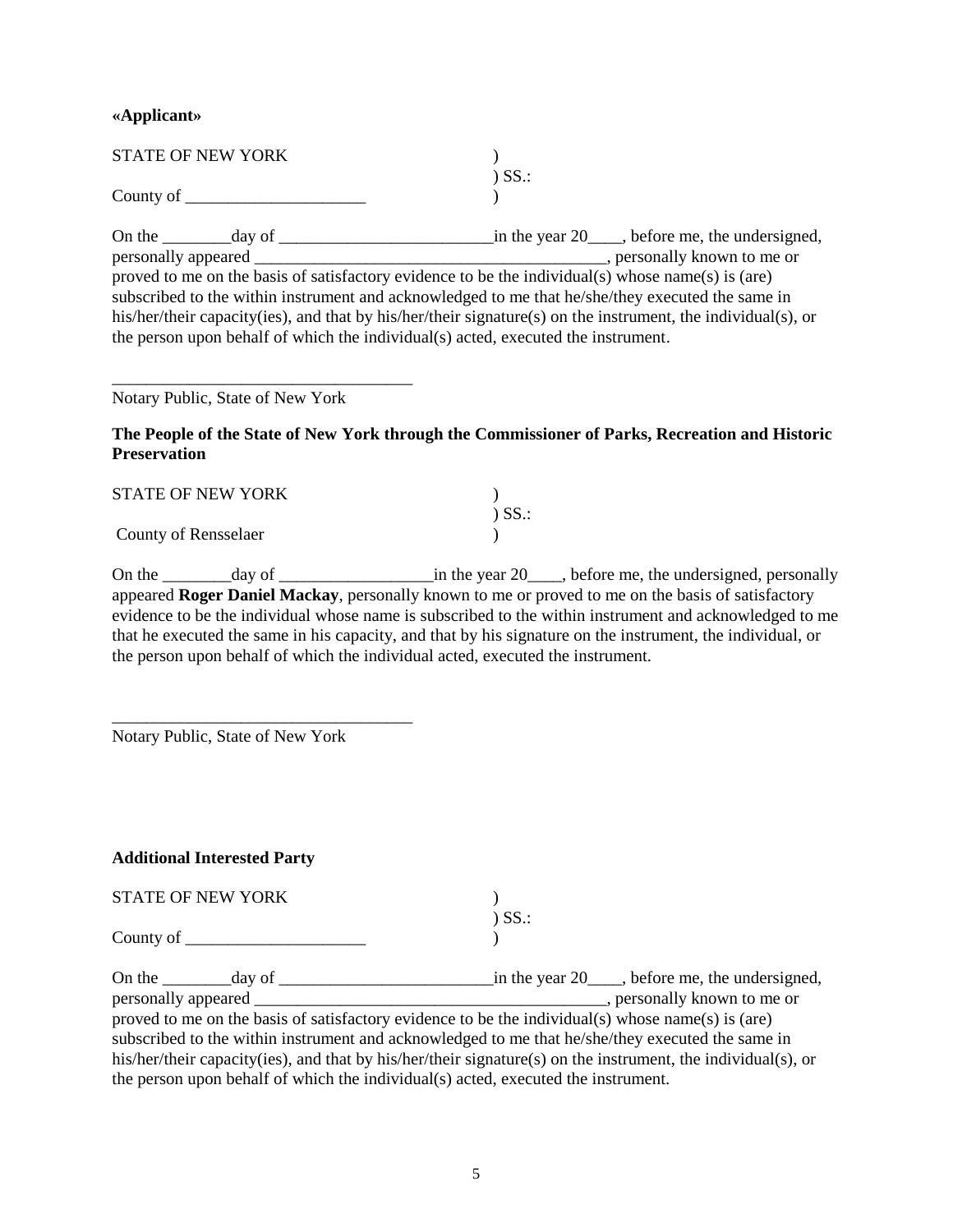### **«Applicant»**

| <b>STATE OF NEW YORK</b> |             |
|--------------------------|-------------|
|                          | $\sum$ SS.: |
| County of                |             |

On the \_\_\_\_\_\_\_\_day of \_\_\_\_\_\_\_\_\_\_\_\_\_\_\_\_\_\_\_\_\_\_\_\_\_in the year 20\_\_\_\_, before me, the undersigned, personally appeared \_\_\_\_\_\_\_\_\_\_\_\_\_\_\_\_\_\_\_\_\_\_\_\_\_\_\_\_\_\_\_\_\_\_\_\_\_\_\_\_\_, personally known to me or proved to me on the basis of satisfactory evidence to be the individual(s) whose name(s) is (are) subscribed to the within instrument and acknowledged to me that he/she/they executed the same in his/her/their capacity(ies), and that by his/her/their signature(s) on the instrument, the individual(s), or the person upon behalf of which the individual(s) acted, executed the instrument.

Notary Public, State of New York

\_\_\_\_\_\_\_\_\_\_\_\_\_\_\_\_\_\_\_\_\_\_\_\_\_\_\_\_\_\_\_\_\_\_\_

**The People of the State of New York through the Commissioner of Parks, Recreation and Historic Preservation** 

| <b>STATE OF NEW YORK</b> |             |
|--------------------------|-------------|
|                          | $\sum$ SS.: |
| County of Rensselaer     |             |

On the  $\frac{1}{2}$  day of  $\frac{1}{2}$  in the year 20  $\frac{1}{2}$ , before me, the undersigned, personally appeared **Roger Daniel Mackay**, personally known to me or proved to me on the basis of satisfactory evidence to be the individual whose name is subscribed to the within instrument and acknowledged to me that he executed the same in his capacity, and that by his signature on the instrument, the individual, or the person upon behalf of which the individual acted, executed the instrument.

Notary Public, State of New York

\_\_\_\_\_\_\_\_\_\_\_\_\_\_\_\_\_\_\_\_\_\_\_\_\_\_\_\_\_\_\_\_\_\_\_

## **Additional Interested Party**

| <b>STATE OF NEW YORK</b> |             |
|--------------------------|-------------|
|                          | $\sum$ SS.: |
| County of                |             |

| On the day of                                                                                                |  |                                                                                   | in the year $20$ , before me, the undersigned, |  |
|--------------------------------------------------------------------------------------------------------------|--|-----------------------------------------------------------------------------------|------------------------------------------------|--|
| personally appeared _                                                                                        |  |                                                                                   | , personally known to me or                    |  |
| proved to me on the basis of satisfactory evidence to be the individual(s) whose name(s) is (are)            |  |                                                                                   |                                                |  |
| subscribed to the within instrument and acknowledged to me that he/she/they executed the same in             |  |                                                                                   |                                                |  |
| his/her/their capacity(ies), and that by his/her/their signature(s) on the instrument, the individual(s), or |  |                                                                                   |                                                |  |
|                                                                                                              |  | the person upon behalf of which the individual(s) acted, executed the instrument. |                                                |  |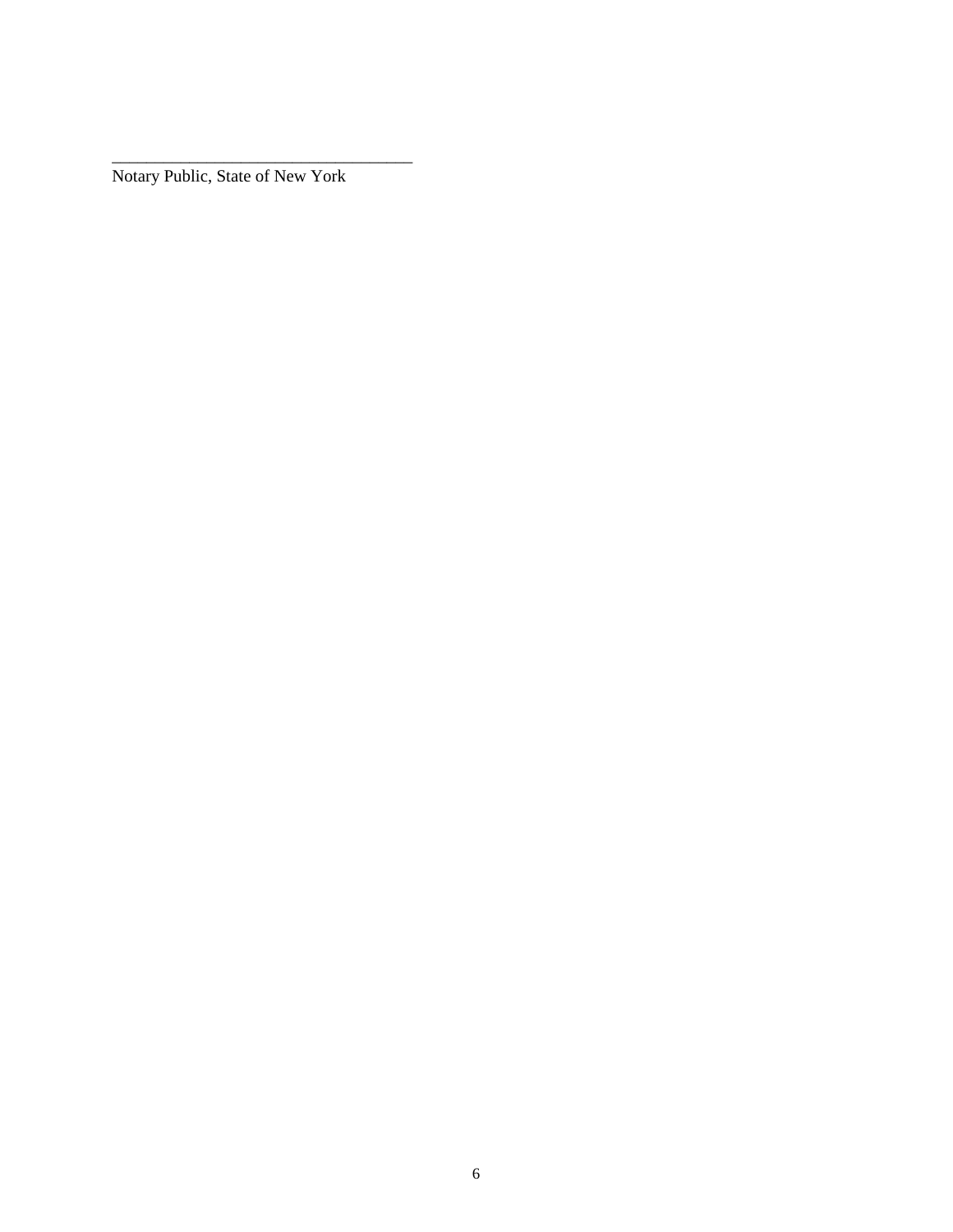Notary Public, State of New York

\_\_\_\_\_\_\_\_\_\_\_\_\_\_\_\_\_\_\_\_\_\_\_\_\_\_\_\_\_\_\_\_\_\_\_